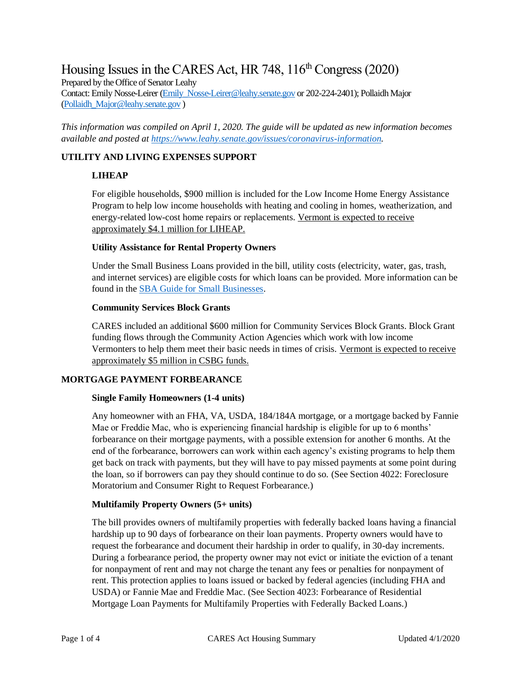# Housing Issues in the CARES Act, HR 748,  $116<sup>th</sup>$  Congress (2020)

Prepared by the Office of Senator Leahy

Contact: Emily Nosse-Leirer [\(Emily\\_Nosse-Leirer@leahy.senate.gov](mailto:Emily_Nosse-Leirer@leahy.senate.gov) or 202-224-2401); Pollaidh Major [\(Pollaidh\\_Major@leahy.senate.gov](mailto:Pollaidh_Major@leahy.senate.gov) )

*This information was compiled on April 1, 2020. The guide will be updated as new information becomes available and posted a[t https://www.leahy.senate.gov/issues/coronavirus-information.](https://www.leahy.senate.gov/issues/coronavirus-information)* 

# **UTILITY AND LIVING EXPENSES SUPPORT**

# **LIHEAP**

For eligible households, \$900 million is included for the Low Income Home Energy Assistance Program to help low income households with heating and cooling in homes, weatherization, and energy-related low-cost home repairs or replacements. Vermont is expected to receive approximately \$4.1 million for LIHEAP.

## **Utility Assistance for Rental Property Owners**

Under the Small Business Loans provided in the bill, utility costs (electricity, water, gas, trash, and internet services) are eligible costs for which loans can be provided. More information can be found in the [SBA Guide for Small Businesses.](https://www.leahy.senate.gov/imo/media/doc/Small%20Business%20Owners%20Guide%20to%20the%20CARES%20Act%20final.pdf)

## **Community Services Block Grants**

CARES included an additional \$600 million for Community Services Block Grants. Block Grant funding flows through the Community Action Agencies which work with low income Vermonters to help them meet their basic needs in times of crisis. Vermont is expected to receive approximately \$5 million in CSBG funds.

# **MORTGAGE PAYMENT FORBEARANCE**

# **Single Family Homeowners (1-4 units)**

Any homeowner with an FHA, VA, USDA, 184/184A mortgage, or a mortgage backed by Fannie Mae or Freddie Mac, who is experiencing financial hardship is eligible for up to 6 months' forbearance on their mortgage payments, with a possible extension for another 6 months. At the end of the forbearance, borrowers can work within each agency's existing programs to help them get back on track with payments, but they will have to pay missed payments at some point during the loan, so if borrowers can pay they should continue to do so. (See Section 4022: Foreclosure Moratorium and Consumer Right to Request Forbearance.)

#### **Multifamily Property Owners (5+ units)**

The bill provides owners of multifamily properties with federally backed loans having a financial hardship up to 90 days of forbearance on their loan payments. Property owners would have to request the forbearance and document their hardship in order to qualify, in 30-day increments. During a forbearance period, the property owner may not evict or initiate the eviction of a tenant for nonpayment of rent and may not charge the tenant any fees or penalties for nonpayment of rent. This protection applies to loans issued or backed by federal agencies (including FHA and USDA) or Fannie Mae and Freddie Mac. (See Section 4023: Forbearance of Residential Mortgage Loan Payments for Multifamily Properties with Federally Backed Loans.)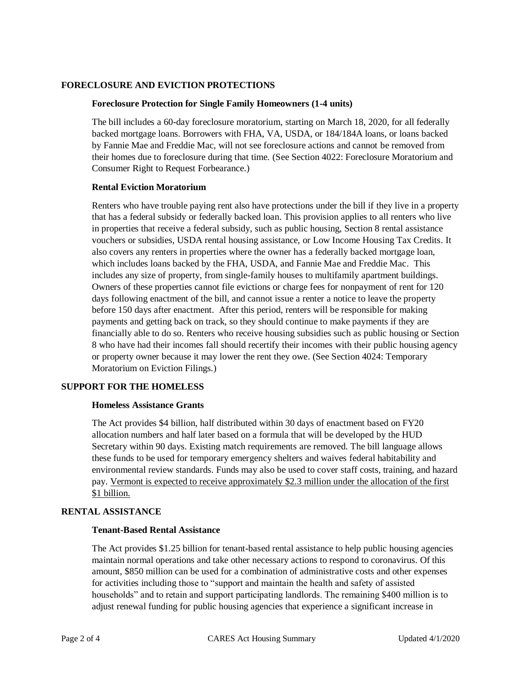#### **FORECLOSURE AND EVICTION PROTECTIONS**

#### **Foreclosure Protection for Single Family Homeowners (1-4 units)**

The bill includes a 60-day foreclosure moratorium, starting on March 18, 2020, for all federally backed mortgage loans. Borrowers with FHA, VA, USDA, or 184/184A loans, or loans backed by Fannie Mae and Freddie Mac, will not see foreclosure actions and cannot be removed from their homes due to foreclosure during that time. (See Section 4022: Foreclosure Moratorium and Consumer Right to Request Forbearance.)

#### **Rental Eviction Moratorium**

Renters who have trouble paying rent also have protections under the bill if they live in a property that has a federal subsidy or federally backed loan. This provision applies to all renters who live in properties that receive a federal subsidy, such as public housing, Section 8 rental assistance vouchers or subsidies, USDA rental housing assistance, or Low Income Housing Tax Credits. It also covers any renters in properties where the owner has a federally backed mortgage loan, which includes loans backed by the FHA, USDA, and Fannie Mae and Freddie Mac. This includes any size of property, from single-family houses to multifamily apartment buildings. Owners of these properties cannot file evictions or charge fees for nonpayment of rent for 120 days following enactment of the bill, and cannot issue a renter a notice to leave the property before 150 days after enactment. After this period, renters will be responsible for making payments and getting back on track, so they should continue to make payments if they are financially able to do so. Renters who receive housing subsidies such as public housing or Section 8 who have had their incomes fall should recertify their incomes with their public housing agency or property owner because it may lower the rent they owe. (See Section 4024: Temporary Moratorium on Eviction Filings.)

#### **SUPPORT FOR THE HOMELESS**

#### **Homeless Assistance Grants**

The Act provides \$4 billion, half distributed within 30 days of enactment based on FY20 allocation numbers and half later based on a formula that will be developed by the HUD Secretary within 90 days. Existing match requirements are removed. The bill language allows these funds to be used for temporary emergency shelters and waives federal habitability and environmental review standards. Funds may also be used to cover staff costs, training, and hazard pay. Vermont is expected to receive approximately \$2.3 million under the allocation of the first \$1 billion.

#### **RENTAL ASSISTANCE**

## **Tenant-Based Rental Assistance**

The Act provides \$1.25 billion for tenant-based rental assistance to help public housing agencies maintain normal operations and take other necessary actions to respond to coronavirus. Of this amount, \$850 million can be used for a combination of administrative costs and other expenses for activities including those to "support and maintain the health and safety of assisted households" and to retain and support participating landlords. The remaining \$400 million is to adjust renewal funding for public housing agencies that experience a significant increase in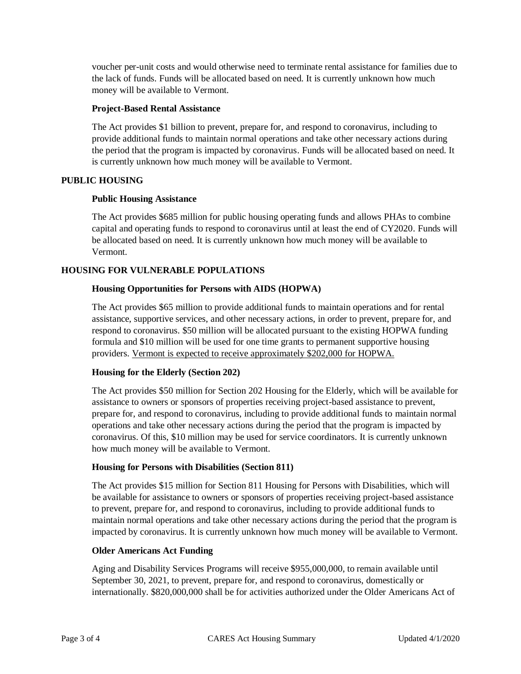voucher per-unit costs and would otherwise need to terminate rental assistance for families due to the lack of funds. Funds will be allocated based on need. It is currently unknown how much money will be available to Vermont.

#### **Project-Based Rental Assistance**

The Act provides \$1 billion to prevent, prepare for, and respond to coronavirus, including to provide additional funds to maintain normal operations and take other necessary actions during the period that the program is impacted by coronavirus. Funds will be allocated based on need. It is currently unknown how much money will be available to Vermont.

# **PUBLIC HOUSING**

## **Public Housing Assistance**

The Act provides \$685 million for public housing operating funds and allows PHAs to combine capital and operating funds to respond to coronavirus until at least the end of CY2020. Funds will be allocated based on need. It is currently unknown how much money will be available to Vermont.

# **HOUSING FOR VULNERABLE POPULATIONS**

# **Housing Opportunities for Persons with AIDS (HOPWA)**

The Act provides \$65 million to provide additional funds to maintain operations and for rental assistance, supportive services, and other necessary actions, in order to prevent, prepare for, and respond to coronavirus. \$50 million will be allocated pursuant to the existing HOPWA funding formula and \$10 million will be used for one time grants to permanent supportive housing providers. Vermont is expected to receive approximately \$202,000 for HOPWA.

# **Housing for the Elderly (Section 202)**

The Act provides \$50 million for Section 202 Housing for the Elderly, which will be available for assistance to owners or sponsors of properties receiving project-based assistance to prevent, prepare for, and respond to coronavirus, including to provide additional funds to maintain normal operations and take other necessary actions during the period that the program is impacted by coronavirus. Of this, \$10 million may be used for service coordinators. It is currently unknown how much money will be available to Vermont.

# **Housing for Persons with Disabilities (Section 811)**

The Act provides \$15 million for Section 811 Housing for Persons with Disabilities, which will be available for assistance to owners or sponsors of properties receiving project-based assistance to prevent, prepare for, and respond to coronavirus, including to provide additional funds to maintain normal operations and take other necessary actions during the period that the program is impacted by coronavirus. It is currently unknown how much money will be available to Vermont.

# **Older Americans Act Funding**

Aging and Disability Services Programs will receive \$955,000,000, to remain available until September 30, 2021, to prevent, prepare for, and respond to coronavirus, domestically or internationally. \$820,000,000 shall be for activities authorized under the Older Americans Act of